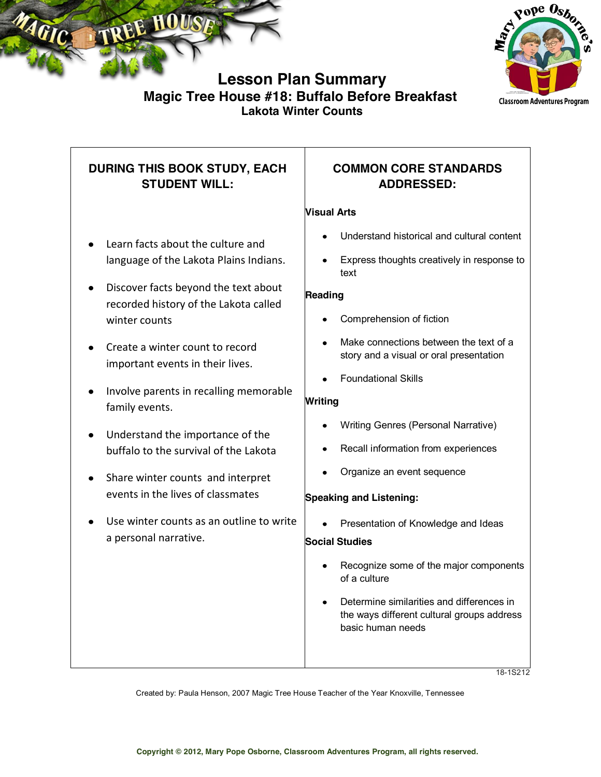



## **Lesson Plan Summary Magic Tree House #18: Buffalo Before Breakfast Lakota Winter Counts**

## **DURING THIS BOOK STUDY, EACH STUDENT WILL:** Learn facts about the culture and language of the Lakota Plains Indians. Discover facts beyond the text about recorded history of the Lakota called winter counts Create a winter count to record important events in their lives. • Involve parents in recalling memorable family events. Understand the importance of the buffalo to the survival of the Lakota • Share winter counts and interpret events in the lives of classmates Use winter counts as an outline to write a personal narrative. **COMMON CORE STANDARDS ADDRESSED: Visual Arts** Understand historical and cultural content Express thoughts creatively in response to text **Reading** Comprehension of fiction Make connections between the text of a story and a visual or oral presentation Foundational Skills **Writing** Writing Genres (Personal Narrative) Recall information from experiences Organize an event sequence **Speaking and Listening:** Presentation of Knowledge and Ideas **Social Studies** Recognize some of the major components of a culture Determine similarities and differences in the ways different cultural groups address basic human needs

18-1S212

Created by: Paula Henson, 2007 Magic Tree House Teacher of the Year Knoxville, Tennessee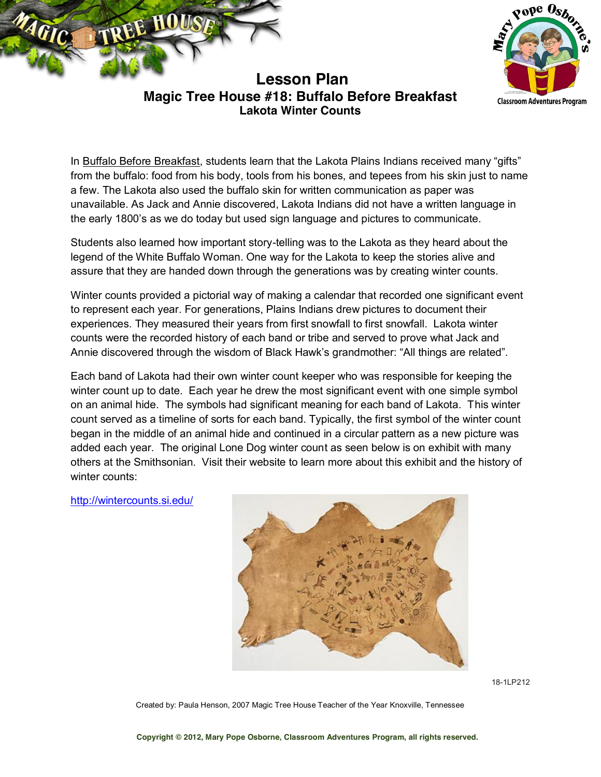



**Lesson Plan Magic Tree House #18: Buffalo Before Breakfast Lakota Winter Counts**

In Buffalo Before Breakfast, students learn that the Lakota Plains Indians received many "gifts" from the buffalo: food from his body, tools from his bones, and tepees from his skin just to name a few. The Lakota also used the buffalo skin for written communication as paper was unavailable. As Jack and Annie discovered, Lakota Indians did not have a written language in the early 1800's as we do today but used sign language and pictures to communicate.

Students also learned how important story-telling was to the Lakota as they heard about the legend of the White Buffalo Woman. One way for the Lakota to keep the stories alive and assure that they are handed down through the generations was by creating winter counts.

Winter counts provided a pictorial way of making a calendar that recorded one significant event to represent each year. For generations, Plains Indians drew pictures to document their experiences. They measured their years from first snowfall to first snowfall. Lakota winter counts were the recorded history of each band or tribe and served to prove what Jack and Annie discovered through the wisdom of Black Hawk's grandmother: "All things are related".

Each band of Lakota had their own winter count keeper who was responsible for keeping the winter count up to date. Each year he drew the most significant event with one simple symbol on an animal hide. The symbols had significant meaning for each band of Lakota. This winter count served as a timeline of sorts for each band. Typically, the first symbol of the winter count began in the middle of an animal hide and continued in a circular pattern as a new picture was added each year. The original Lone Dog winter count as seen below is on exhibit with many others at the Smithsonian. Visit their website to learn more about this exhibit and the history of winter counts:

<http://wintercounts.si.edu/>



18-1LP212

Created by: Paula Henson, 2007 Magic Tree House Teacher of the Year Knoxville, Tennessee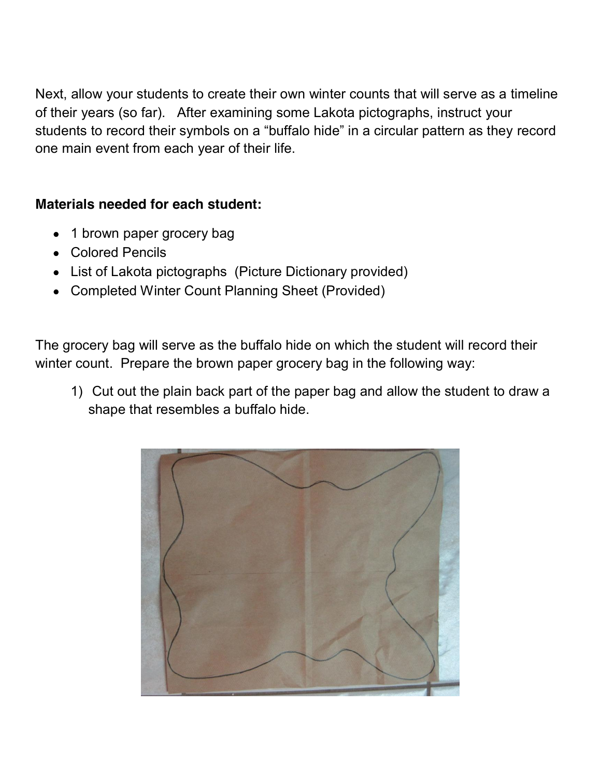Next, allow your students to create their own winter counts that will serve as a timeline of their years (so far). After examining some Lakota pictographs, instruct your students to record their symbols on a "buffalo hide" in a circular pattern as they record one main event from each year of their life.

## **Materials needed for each student:**

- 1 brown paper grocery bag
- Colored Pencils
- List of Lakota pictographs (Picture Dictionary provided)
- Completed Winter Count Planning Sheet (Provided)

The grocery bag will serve as the buffalo hide on which the student will record their winter count. Prepare the brown paper grocery bag in the following way:

1) Cut out the plain back part of the paper bag and allow the student to draw a shape that resembles a buffalo hide.

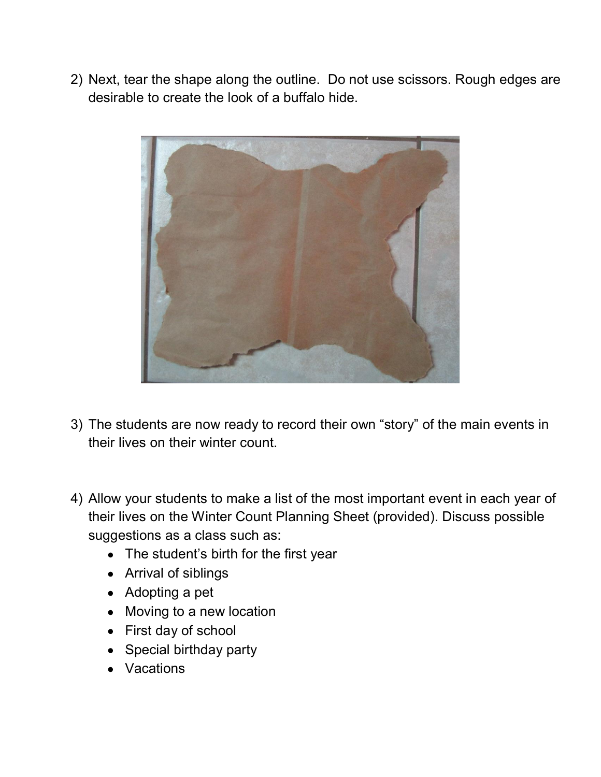2) Next, tear the shape along the outline. Do not use scissors. Rough edges are desirable to create the look of a buffalo hide.



- 3) The students are now ready to record their own "story" of the main events in their lives on their winter count.
- 4) Allow your students to make a list of the most important event in each year of their lives on the Winter Count Planning Sheet (provided). Discuss possible suggestions as a class such as:
	- The student's birth for the first year
	- Arrival of siblings
	- Adopting a pet
	- Moving to a new location
	- First day of school
	- Special birthday party
	- Vacations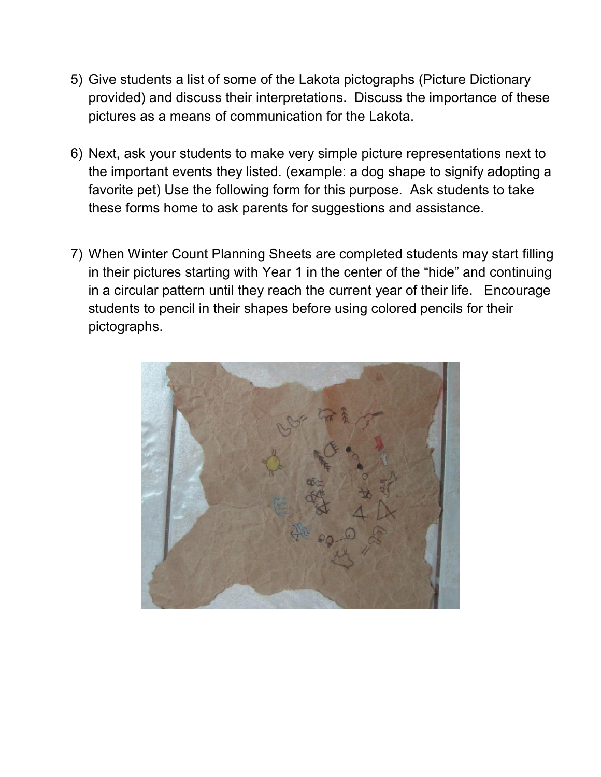- 5) Give students a list of some of the Lakota pictographs (Picture Dictionary provided) and discuss their interpretations. Discuss the importance of these pictures as a means of communication for the Lakota.
- 6) Next, ask your students to make very simple picture representations next to the important events they listed. (example: a dog shape to signify adopting a favorite pet) Use the following form for this purpose. Ask students to take these forms home to ask parents for suggestions and assistance.
- 7) When Winter Count Planning Sheets are completed students may start filling in their pictures starting with Year 1 in the center of the "hide" and continuing in a circular pattern until they reach the current year of their life. Encourage students to pencil in their shapes before using colored pencils for their pictographs.

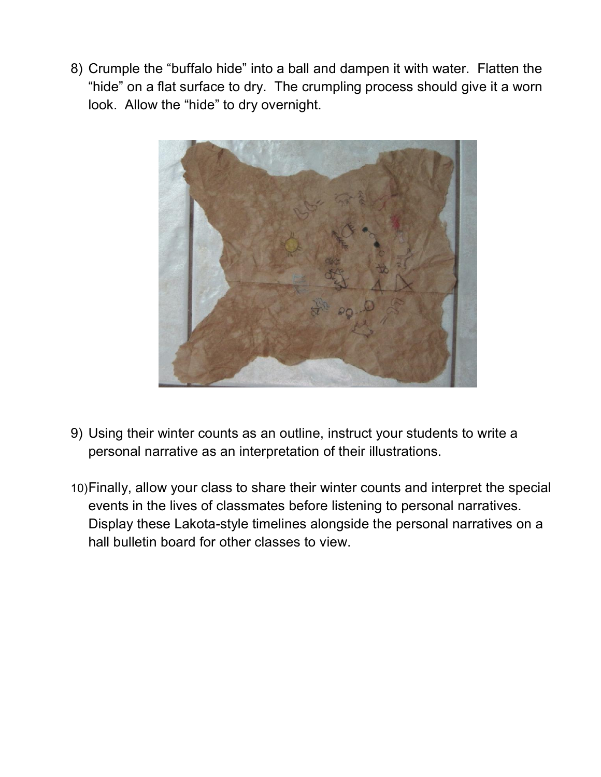8) Crumple the "buffalo hide" into a ball and dampen it with water. Flatten the "hide" on a flat surface to dry. The crumpling process should give it a worn look. Allow the "hide" to dry overnight.



- 9) Using their winter counts as an outline, instruct your students to write a personal narrative as an interpretation of their illustrations.
- 10)Finally, allow your class to share their winter counts and interpret the special events in the lives of classmates before listening to personal narratives. Display these Lakota-style timelines alongside the personal narratives on a hall bulletin board for other classes to view.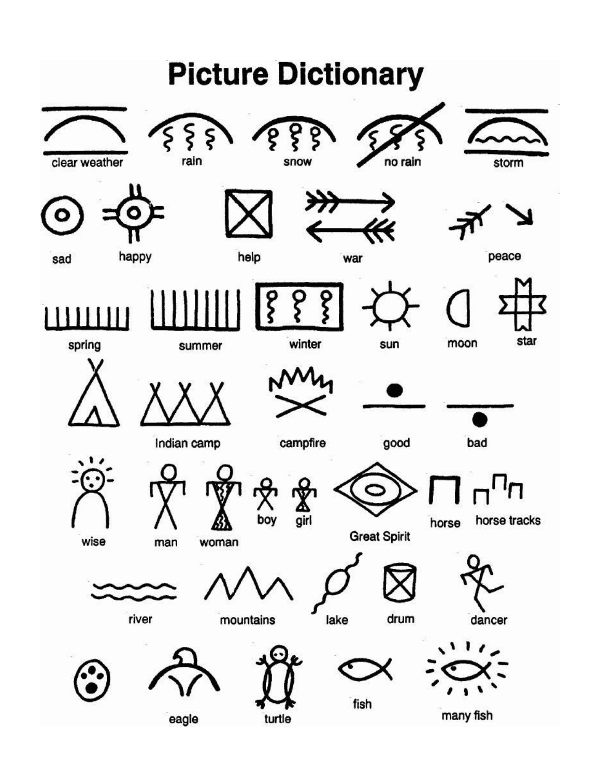